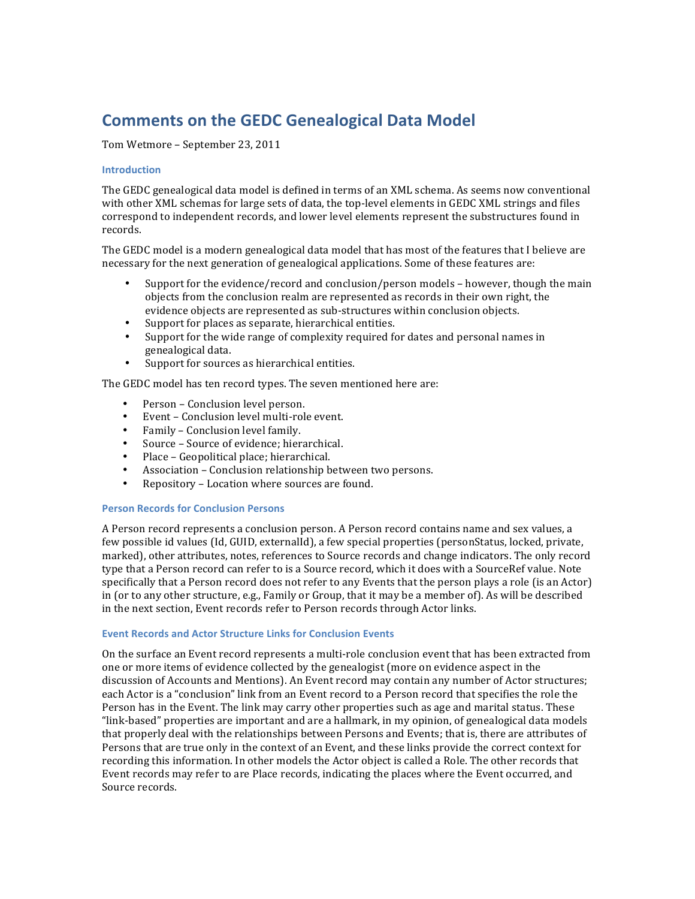# **Comments on the GEDC Genealogical Data Model**

Tom Wetmore – September 23, 2011

### **Introduction**

The GEDC genealogical data model is defined in terms of an XML schema. As seems now conventional with other XML schemas for large sets of data, the top-level elements in GEDC XML strings and files correspond to independent records, and lower level elements represent the substructures found in records.

The GEDC model is a modern genealogical data model that has most of the features that I believe are necessary for the next generation of genealogical applications. Some of these features are:

- Support for the evidence/record and conclusion/person models however, though the main objects from the conclusion realm are represented as records in their own right, the evidence objects are represented as sub-structures within conclusion objects.
- Support for places as separate, hierarchical entities.<br>• Support for the wide range of complexity required fo
- Support for the wide range of complexity required for dates and personal names in genealogical data.
- Support for sources as hierarchical entities.

The GEDC model has ten record types. The seven mentioned here are:

- Person Conclusion level person.
- Event Conclusion level multi-role event.
- Family Conclusion level family.
- Source Source of evidence; hierarchical.
- $\bullet$  Place Geopolitical place; hierarchical.
- Association Conclusion relationship between two persons.
- Repository Location where sources are found.

### **Person Records for Conclusion Persons**

A Person record represents a conclusion person. A Person record contains name and sex values, a few possible id values (Id, GUID, externalId), a few special properties (personStatus, locked, private, marked), other attributes, notes, references to Source records and change indicators. The only record type that a Person record can refer to is a Source record, which it does with a SourceRef value. Note specifically that a Person record does not refer to any Events that the person plays a role (is an Actor) in (or to any other structure, e.g., Family or Group, that it may be a member of). As will be described in the next section, Event records refer to Person records through Actor links.

### **Event Records and Actor Structure Links for Conclusion Events**

On the surface an Event record represents a multi-role conclusion event that has been extracted from one or more items of evidence collected by the genealogist (more on evidence aspect in the discussion of Accounts and Mentions). An Event record may contain any number of Actor structures; each Actor is a "conclusion" link from an Event record to a Person record that specifies the role the Person has in the Event. The link may carry other properties such as age and marital status. These "link-based" properties are important and are a hallmark, in my opinion, of genealogical data models that properly deal with the relationships between Persons and Events; that is, there are attributes of Persons that are true only in the context of an Event, and these links provide the correct context for recording this information. In other models the Actor object is called a Role. The other records that Event records may refer to are Place records, indicating the places where the Event occurred, and Source records.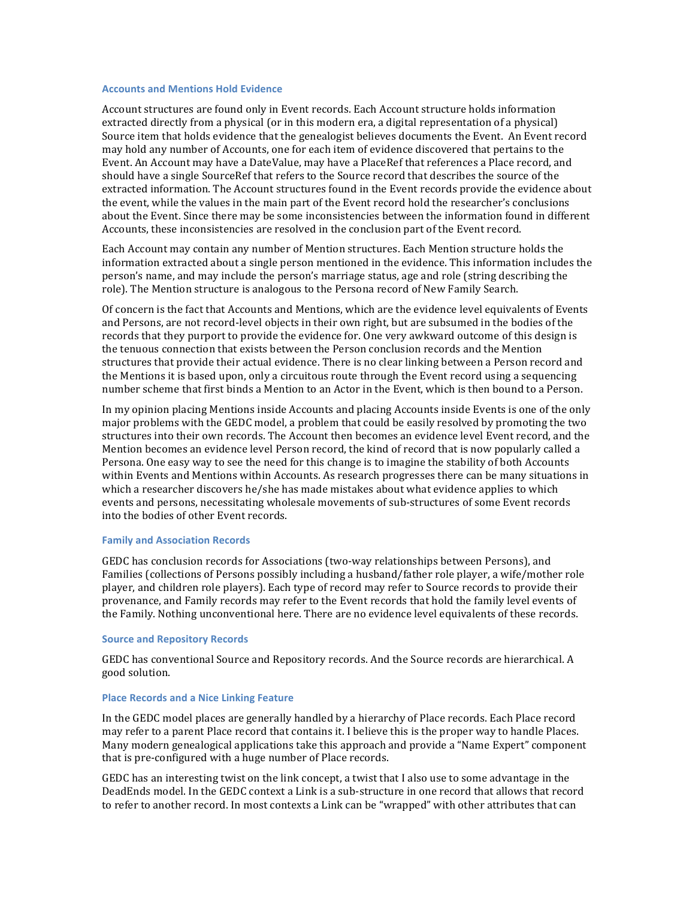## **Accounts and Mentions Hold Evidence**

Account structures are found only in Event records. Each Account structure holds information extracted directly from a physical (or in this modern era, a digital representation of a physical) Source item that holds evidence that the genealogist believes documents the Event. An Event record may hold any number of Accounts, one for each item of evidence discovered that pertains to the Event. An Account may have a DateValue, may have a PlaceRef that references a Place record, and should have a single SourceRef that refers to the Source record that describes the source of the extracted information. The Account structures found in the Event records provide the evidence about the event, while the values in the main part of the Event record hold the researcher's conclusions about the Event. Since there may be some inconsistencies between the information found in different Accounts, these inconsistencies are resolved in the conclusion part of the Event record.

Each Account may contain any number of Mention structures. Each Mention structure holds the information extracted about a single person mentioned in the evidence. This information includes the person's name, and may include the person's marriage status, age and role (string describing the role). The Mention structure is analogous to the Persona record of New Family Search.

Of concern is the fact that Accounts and Mentions, which are the evidence level equivalents of Events and Persons, are not record-level objects in their own right, but are subsumed in the bodies of the records that they purport to provide the evidence for. One very awkward outcome of this design is the tenuous connection that exists between the Person conclusion records and the Mention structures that provide their actual evidence. There is no clear linking between a Person record and the Mentions it is based upon, only a circuitous route through the Event record using a sequencing number scheme that first binds a Mention to an Actor in the Event, which is then bound to a Person.

In my opinion placing Mentions inside Accounts and placing Accounts inside Events is one of the only major problems with the GEDC model, a problem that could be easily resolved by promoting the two structures into their own records. The Account then becomes an evidence level Event record, and the Mention becomes an evidence level Person record, the kind of record that is now popularly called a Persona. One easy way to see the need for this change is to imagine the stability of both Accounts within Events and Mentions within Accounts. As research progresses there can be many situations in which a researcher discovers he/she has made mistakes about what evidence applies to which events and persons, necessitating wholesale movements of sub-structures of some Event records into the bodies of other Event records.

#### **Family and Association Records**

GEDC has conclusion records for Associations (two-way relationships between Persons), and Families (collections of Persons possibly including a husband/father role player, a wife/mother role player, and children role players). Each type of record may refer to Source records to provide their provenance, and Family records may refer to the Event records that hold the family level events of the Family. Nothing unconventional here. There are no evidence level equivalents of these records.

### **Source and Repository Records**

GEDC has conventional Source and Repository records. And the Source records are hierarchical. A good solution.

#### **Place Records and a Nice Linking Feature**

In the GEDC model places are generally handled by a hierarchy of Place records. Each Place record may refer to a parent Place record that contains it. I believe this is the proper way to handle Places. Many modern genealogical applications take this approach and provide a "Name Expert" component that is pre-configured with a huge number of Place records.

GEDC has an interesting twist on the link concept, a twist that I also use to some advantage in the DeadEnds model. In the GEDC context a Link is a sub-structure in one record that allows that record to refer to another record. In most contexts a Link can be "wrapped" with other attributes that can